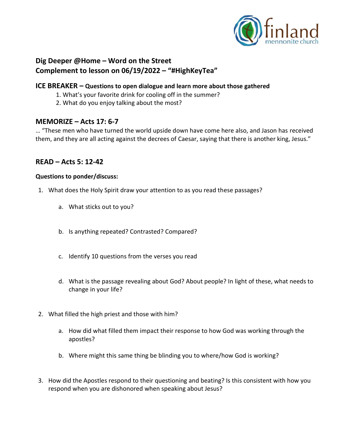

# **Dig Deeper @Home – Word on the Street Complement to lesson on 06/19/2022 – "#HighKeyTea"**

### **ICE BREAKER – Questions to open dialogue and learn more about those gathered**

- 1. What's your favorite drink for cooling off in the summer?
- 2. What do you enjoy talking about the most?

## **MEMORIZE – Acts 17: 6-7**

… "These men who have turned the world upside down have come here also, and Jason has received them, and they are all acting against the decrees of Caesar, saying that there is another king, Jesus."

## **READ – Acts 5: 12-42**

### **Questions to ponder/discuss:**

- 1. What does the Holy Spirit draw your attention to as you read these passages?
	- a. What sticks out to you?
	- b. Is anything repeated? Contrasted? Compared?
	- c. Identify 10 questions from the verses you read
	- d. What is the passage revealing about God? About people? In light of these, what needs to change in your life?
- 2. What filled the high priest and those with him?
	- a. How did what filled them impact their response to how God was working through the apostles?
	- b. Where might this same thing be blinding you to where/how God is working?
- 3. How did the Apostles respond to their questioning and beating? Is this consistent with how you respond when you are dishonored when speaking about Jesus?